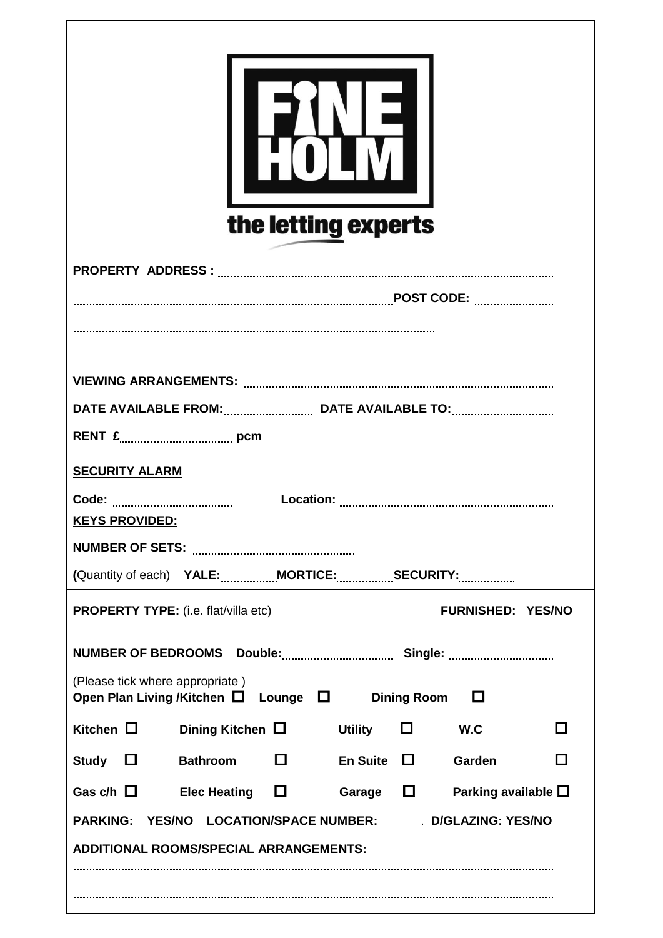| RENT £ [100] pcm<br><b>SECURITY ALARM</b><br><b>KEYS PROVIDED:</b><br>(Quantity of each) YALE: MORTICE: SECURITY: SECURITY:<br>(Please tick where appropriate)<br>Open Plan Living /Kitchen $\Box$ Lounge $\Box$ Dining Room $\Box$ |
|-------------------------------------------------------------------------------------------------------------------------------------------------------------------------------------------------------------------------------------|
|                                                                                                                                                                                                                                     |
|                                                                                                                                                                                                                                     |
|                                                                                                                                                                                                                                     |
|                                                                                                                                                                                                                                     |
|                                                                                                                                                                                                                                     |
|                                                                                                                                                                                                                                     |
|                                                                                                                                                                                                                                     |
|                                                                                                                                                                                                                                     |
|                                                                                                                                                                                                                                     |
|                                                                                                                                                                                                                                     |
| Kitchen $\Box$<br>Dining Kitchen $\Box$<br>$\square$ w.c<br><b>Utility</b><br>l I                                                                                                                                                   |
| Bathroom <sup>1</sup><br>En Suite $\Box$<br>$\Box$<br>Study $\Box$<br>Garden                                                                                                                                                        |
| Garage $\Box$<br>Gas c/h $\Box$<br>Elec Heating $\Box$<br>Parking available $\square$                                                                                                                                               |
| <b>PARKING:</b><br>YES/NO LOCATION/SPACE NUMBER: D/GLAZING: YES/NO<br><b>ADDITIONAL ROOMS/SPECIAL ARRANGEMENTS:</b>                                                                                                                 |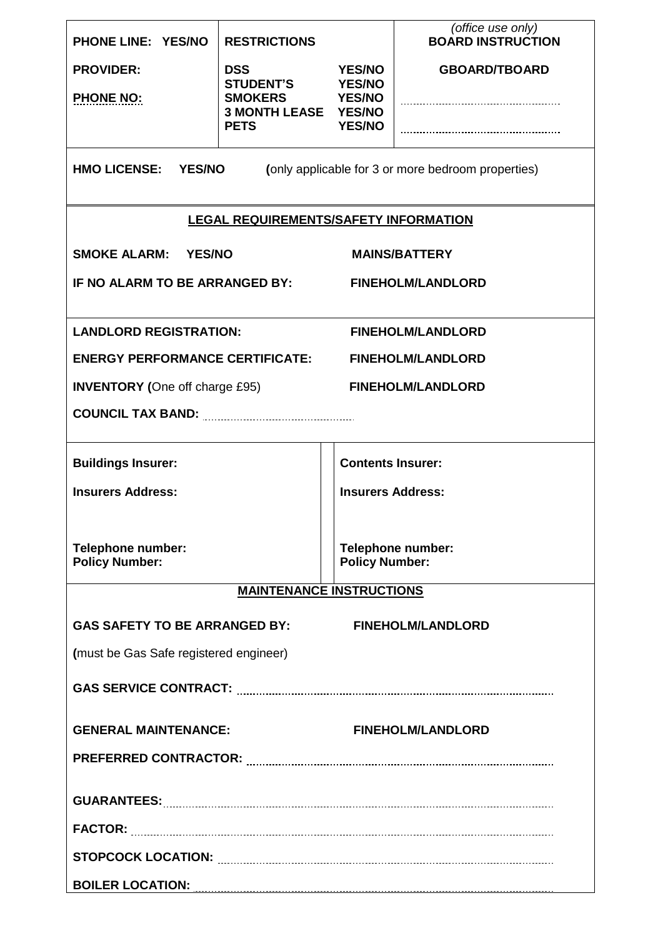| <b>PHONE LINE: YES/NO</b>                                                                  | <b>RESTRICTIONS</b>                          |                                                 | (office use only)<br><b>BOARD INSTRUCTION</b> |  |  |  |
|--------------------------------------------------------------------------------------------|----------------------------------------------|-------------------------------------------------|-----------------------------------------------|--|--|--|
| <b>PROVIDER:</b>                                                                           | <b>DSS</b><br><b>YES/NO</b>                  |                                                 | <b>GBOARD/TBOARD</b>                          |  |  |  |
| <b>PHONE NO:</b>                                                                           | <b>STUDENT'S</b><br><b>SMOKERS</b>           | <b>YES/NO</b><br><b>YES/NO</b><br><b>YES/NO</b> |                                               |  |  |  |
|                                                                                            | <b>3 MONTH LEASE YES/NO</b><br><b>PETS</b>   |                                                 |                                               |  |  |  |
|                                                                                            |                                              |                                                 |                                               |  |  |  |
| <b>HMO LICENSE:</b><br><b>YES/NO</b><br>(only applicable for 3 or more bedroom properties) |                                              |                                                 |                                               |  |  |  |
|                                                                                            | <b>LEGAL REQUIREMENTS/SAFETY INFORMATION</b> |                                                 |                                               |  |  |  |
| <b>SMOKE ALARM: YES/NO</b>                                                                 |                                              |                                                 | <b>MAINS/BATTERY</b>                          |  |  |  |
| IF NO ALARM TO BE ARRANGED BY:                                                             |                                              |                                                 | <b>FINEHOLM/LANDLORD</b>                      |  |  |  |
|                                                                                            |                                              |                                                 |                                               |  |  |  |
| <b>LANDLORD REGISTRATION:</b>                                                              |                                              |                                                 | <b>FINEHOLM/LANDLORD</b>                      |  |  |  |
| <b>ENERGY PERFORMANCE CERTIFICATE:</b>                                                     |                                              |                                                 | <b>FINEHOLM/LANDLORD</b>                      |  |  |  |
| <b>INVENTORY</b> (One off charge £95)                                                      |                                              |                                                 | <b>FINEHOLM/LANDLORD</b>                      |  |  |  |
|                                                                                            |                                              |                                                 |                                               |  |  |  |
| <b>Buildings Insurer:</b>                                                                  |                                              | <b>Contents Insurer:</b>                        |                                               |  |  |  |
| <b>Insurers Address:</b>                                                                   |                                              | <b>Insurers Address:</b>                        |                                               |  |  |  |
|                                                                                            |                                              |                                                 |                                               |  |  |  |
| <b>Telephone number:</b>                                                                   |                                              | Telephone number:                               |                                               |  |  |  |
| <b>Policy Number:</b>                                                                      |                                              | <b>Policy Number:</b>                           |                                               |  |  |  |
|                                                                                            | <b>MAINTENANCE INSTRUCTIONS</b>              |                                                 |                                               |  |  |  |
| <b>GAS SAFETY TO BE ARRANGED BY:</b>                                                       |                                              |                                                 | <b>FINEHOLM/LANDLORD</b>                      |  |  |  |
| (must be Gas Safe registered engineer)                                                     |                                              |                                                 |                                               |  |  |  |
|                                                                                            |                                              |                                                 |                                               |  |  |  |
| <b>GENERAL MAINTENANCE:</b>                                                                |                                              |                                                 | <b>FINEHOLM/LANDLORD</b>                      |  |  |  |
|                                                                                            |                                              |                                                 |                                               |  |  |  |
|                                                                                            |                                              |                                                 |                                               |  |  |  |
|                                                                                            |                                              |                                                 |                                               |  |  |  |
|                                                                                            |                                              |                                                 |                                               |  |  |  |
|                                                                                            |                                              |                                                 |                                               |  |  |  |
|                                                                                            |                                              |                                                 |                                               |  |  |  |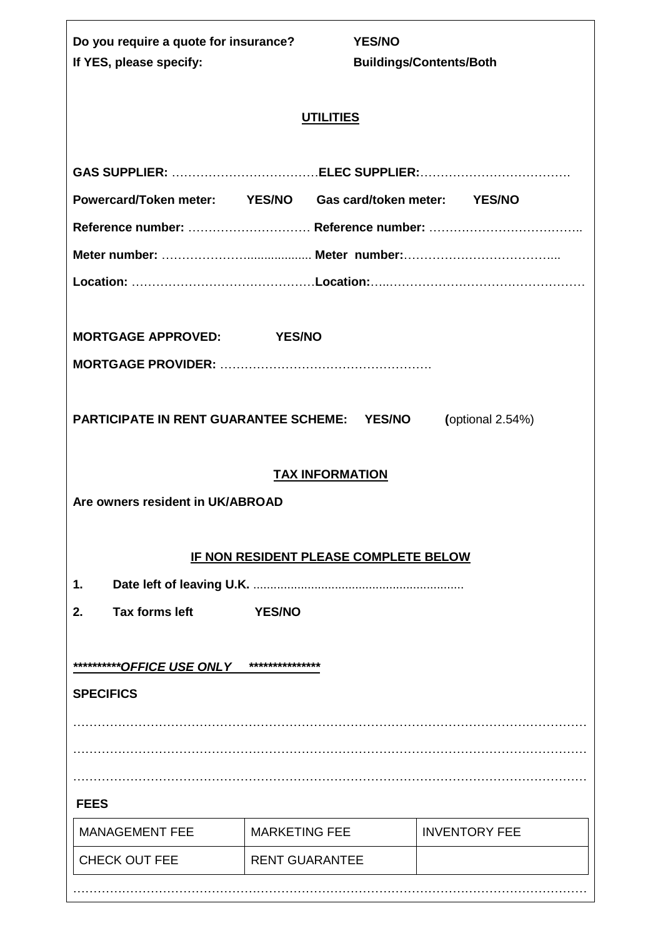| Do you require a quote for insurance?                                            |                        | <b>YES/NO</b>                                              |
|----------------------------------------------------------------------------------|------------------------|------------------------------------------------------------|
| If YES, please specify:                                                          |                        | <b>Buildings/Contents/Both</b>                             |
|                                                                                  | <b>UTILITIES</b>       |                                                            |
|                                                                                  |                        |                                                            |
|                                                                                  |                        | Powercard/Token meter: YES/NO Gas card/token meter: YES/NO |
|                                                                                  |                        |                                                            |
|                                                                                  |                        |                                                            |
|                                                                                  |                        |                                                            |
|                                                                                  |                        |                                                            |
| MORTGAGE APPROVED: YES/NO                                                        |                        |                                                            |
|                                                                                  |                        |                                                            |
| PARTICIPATE IN RENT GUARANTEE SCHEME: YES/NO<br>Are owners resident in UK/ABROAD | <b>TAX INFORMATION</b> | (optional 2.54%)                                           |
|                                                                                  |                        | IF NON RESIDENT PLEASE COMPLETE BELOW                      |
| 1.                                                                               |                        |                                                            |
| <b>Tax forms left</b><br>2.                                                      | <b>YES/NO</b>          |                                                            |
|                                                                                  | ***************        |                                                            |
| <b>SPECIFICS</b>                                                                 |                        |                                                            |
|                                                                                  |                        |                                                            |
|                                                                                  |                        |                                                            |
|                                                                                  |                        |                                                            |
| <b>FEES</b>                                                                      |                        |                                                            |
| <b>MANAGEMENT FEE</b>                                                            | <b>MARKETING FEE</b>   | <b>INVENTORY FEE</b>                                       |
| <b>CHECK OUT FEE</b>                                                             | <b>RENT GUARANTEE</b>  |                                                            |
|                                                                                  |                        |                                                            |